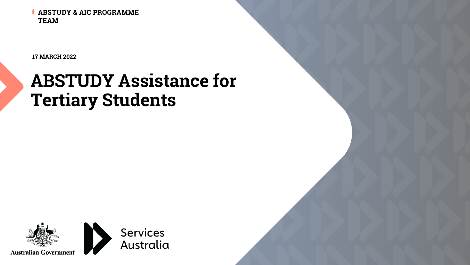**ABSTUDY & AIC PROGRAMME TEAM**

**17 MARCH 2022**

# **ABSTUDY Assistance for Tertiary Students**

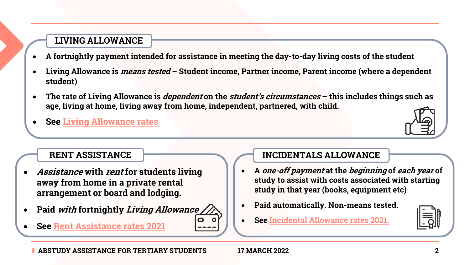#### **LIVING ALLOWANCE**

- **A fortnightly payment intended for assistance in meeting the day-to-day living costs of the student**
- **Living Allowance is** *means tested* **Student income, Partner income student)**
- **The rate of Living Allowance is dependent on the student's circumstances – [this includes thi](https://www.servicesaustralia.gov.au/individuals/services/centrelink/abstudy-incidentals-allowance)ngs such as**  a[ge, living at home, living away f](https://www.servicesaustralia.gov.au/individuals/services/centrelink/rent-assistance)rom home, independent, partnered,
- **See Living Allowance rates**



**ABSTUDY ASSISTANCE FOR TERTIARY STUDENTS 17 MARCH 2022 2**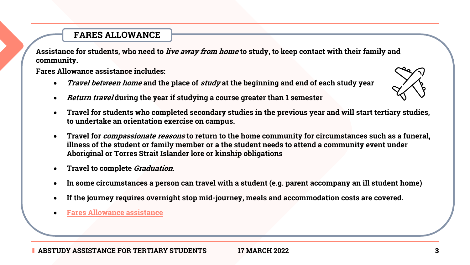## **FARES ALLOWANCE**

Assistance for students, who need to *live away from home* to study, to keep **community.**

**Fares Allowance assistance includes:**

- Travel between home [and th](https://www.servicesaustralia.gov.au/individuals/services/centrelink/abstudy-fares-allowance)e place of study at the beginning and e
- *Return travel* during the year if studying a course greater than 1 semester
- **Travel for students who completed secondary studies in the previo to undertake an orientation exercise on campus.**
- **Travel for compassionate reasons to return to the home community for circumstances such as a funeral,**  illness of the student or family member or a the student needs to at **Aboriginal or Torres Strait Islander lore or kinship obligations**
- **Travel to complete Graduation.**
- In some circumstances a person can travel with a student (e.g. pare
- If the journey requires overnight stop mid-journey, meals and acco
- **Fares Allowance assistance**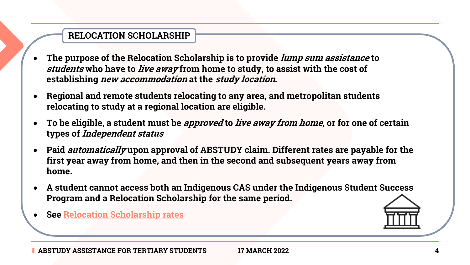## **RELOCATION SCHOLARSHIP**

- **The purpose of the Relocation Scholarship is to provide lump sum assistance to students** who have to *live away* from home to study, to assist **establishing new accommodation at the study location.**
- **Reg[ional and remote students rel](https://www.servicesaustralia.gov.au/individuals/services/centrelink/relocation-scholarship/how-much-you-can-get)ocating to any area, and metropolity relocating to study at a regional location are eligible.**
- **To be eligible, a student must be** *approved* **to live away from types of Independent status**
- Paid *automatically* upon approval of ABSTUDY claim. Differe first year away from home, and then in the second and subse **home.**
- A student cannot access both an Indigenous CAS under the Indigenous CAS **Program and a Relocation Scholarship for the same period.**
- **See Relocation Scholarship rates**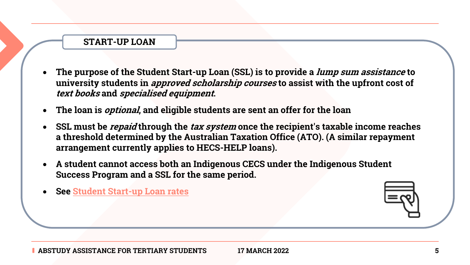#### **START-UP LOAN**

- **The [purpose of the Student Star](https://www.servicesaustralia.gov.au/individuals/services/centrelink/student-start-loan)t-up Loan (SSL) is to providently university students in** *approved scholarship courses* **to as: text books and specialised equipment.**
- **The loan is optional, and eligible students are sent an offer for the loan**
- **SSL must be** *repaid* **through the** *tax system* **once the recipi a threshold determined by the Australian Taxation Office ( arrangement currently applies to HECS-HELP loans).**
- **A student cannot access both an Indigenous CECS under the Indigenous Student Success Program and a SSL for the same period.**
- **See Student Start-up Loan rates**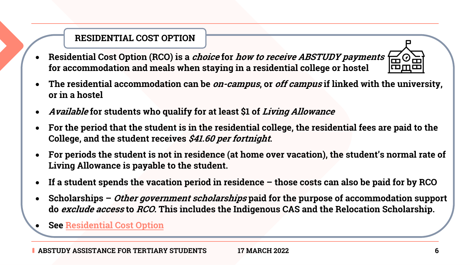## **RESIDENTIAL COST OPTION**

- **Residential Cost Option (RCO) is a** *choice* **for** *how to receive***.** for accommodation and meals when staying in a residential
- **The residential accommodation can be** *on-campus***, or** *off ca.* **or i[n a hostel](https://www.servicesaustralia.gov.au/individuals/services/centrelink/abstudy-living-allowance/how-manage-your-allowance/residential-costs-option)**
- **Available for students who qualify for at least \$1 of Living Allowance**
- For the period that the student is in the residential college, t **College, and the student receives \$41.60 per fortnight.**
- For periods the student is not in residence (at home over vac **Living Allowance is payable to the student.**
- **If a student spends the vacation period in residence those**
- **Scholarships –** *Other government scholarships* paid for the **do** *exclude access* **to** *RCO***. This includes the Indigenous CAS**

• **See Residential Cost Option**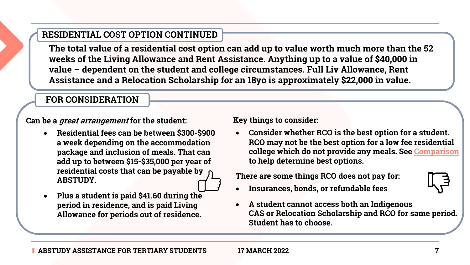## **RESIDENTIAL COST OPTION CONTINUED**

The total value of a residential cost option can add up to valu weeks of the Living Allowance and Rent Assistance. Anythin value – dependent on the student and college circumstances Assistance and a Relocation Scholarship for an 18yo is appro

#### **FOR CONSIDERATION**

**Can be a great arrangement for the student:**

- **Residential fees can be between \$300-\$900 a week depending on the accommodation package and inclusion of meals. That can add up to between \$15-\$35,000 per year of residential costs that can be payable by ABSTUDY.**
- **Plus a student is paid \$41.60 during the period in residence, and is paid Living Allowance for periods out of residence.**

**Key things to const** 

**Consider when RCO may not** college which to help detern

**There are some tl** 

- Insurances, bo
- **A** student can **CAS or Relocation Student has to**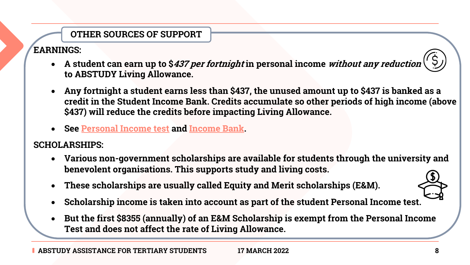# **OTHER SOURCES OF SUPPORT**

### **EARNINGS:**

- **A** student can earn up to \$*437 per fortnight* in personal in **to ABSTUDY Living Allowance.**
- Any fortnight a student earns less than \$437, the unused credit in the Student Income Bank. Credits accumulate **s** \$437) will reduce the credits before impacting Living All**o**
- **See Personal Income test and Income Bank.**

#### **SCHOLARSHIPS:**

- Various non-government scholarships are available for straining the university  $\bf{V}$ **benevolent organisations. This supports study and living costs.**
- **These scholarships are usually called Equity and Merit s**
- **Scholarship income is taken into account as part of the student Personal Income is taken into account as part of the s**
- But the first \$8355 (annually) of an E&M Scholarship is exampted **Personal Income Test and does not affect the rate of Living Allowance.**